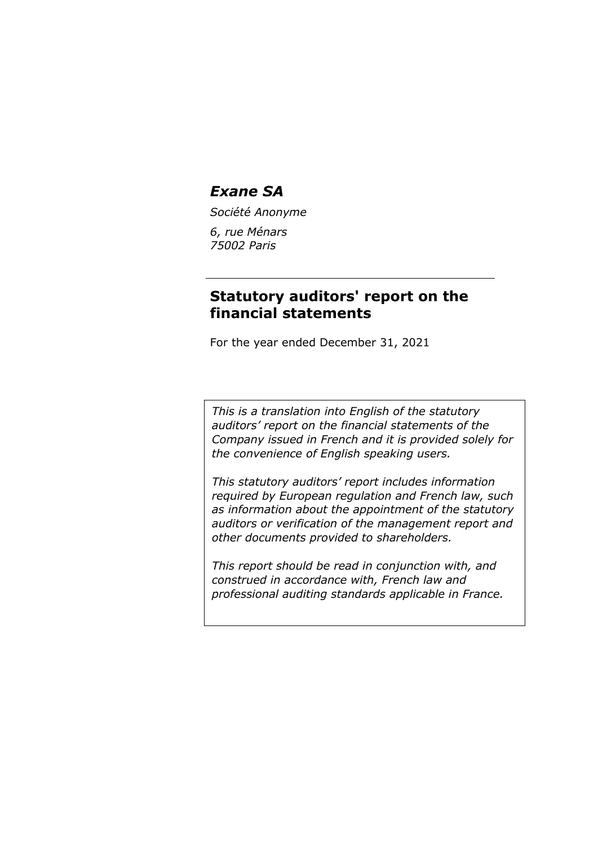*Société Anonyme*

*6, rue Ménars 75002 Paris*

## **Statutory auditors' report on the financial statements**

For the year ended December 31, 2021

*This is a translation into English of the statutory auditors' report on the financial statements of the Company issued in French and it is provided solely for the convenience of English speaking users.*

*This statutory auditors' report includes information required by European regulation and French law, such as information about the appointment of the statutory auditors or verification of the management report and other documents provided to shareholders.*

*This report should be read in conjunction with, and construed in accordance with, French law and professional auditing standards applicable in France.*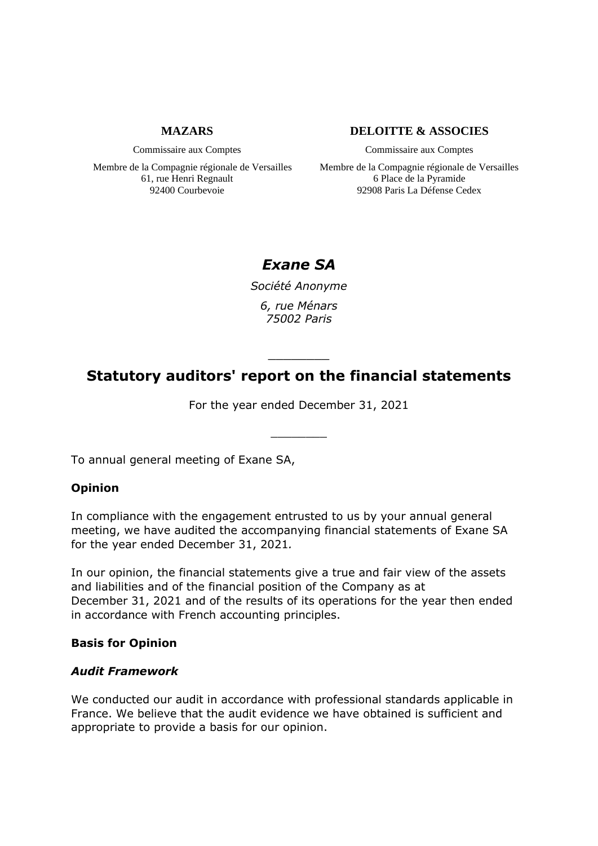## **MAZARS**

Commissaire aux Comptes

Membre de la Compagnie régionale de Versailles 61, rue Henri Regnault 92400 Courbevoie

## **DELOITTE & ASSOCIES**

Commissaire aux Comptes

Membre de la Compagnie régionale de Versailles 6 Place de la Pyramide 92908 Paris La Défense Cedex

# *Exane SA*

*Société Anonyme 6, rue Ménars 75002 Paris*

# **Statutory auditors' report on the financial statements**

\_\_\_\_\_\_\_\_

For the year ended December 31, 2021

 $\overline{\phantom{a}}$  ,  $\overline{\phantom{a}}$  ,  $\overline{\phantom{a}}$  ,  $\overline{\phantom{a}}$  ,  $\overline{\phantom{a}}$  ,  $\overline{\phantom{a}}$  ,  $\overline{\phantom{a}}$  ,  $\overline{\phantom{a}}$  ,  $\overline{\phantom{a}}$  ,  $\overline{\phantom{a}}$  ,  $\overline{\phantom{a}}$  ,  $\overline{\phantom{a}}$  ,  $\overline{\phantom{a}}$  ,  $\overline{\phantom{a}}$  ,  $\overline{\phantom{a}}$  ,  $\overline{\phantom{a}}$ 

To annual general meeting of Exane SA,

## **Opinion**

In compliance with the engagement entrusted to us by your annual general meeting, we have audited the accompanying financial statements of Exane SA for the year ended December 31, 2021*.*

In our opinion, the financial statements give a true and fair view of the assets and liabilities and of the financial position of the Company as at December 31, 2021 and of the results of its operations for the year then ended in accordance with French accounting principles.

## **Basis for Opinion**

## *Audit Framework*

We conducted our audit in accordance with professional standards applicable in France. We believe that the audit evidence we have obtained is sufficient and appropriate to provide a basis for our opinion.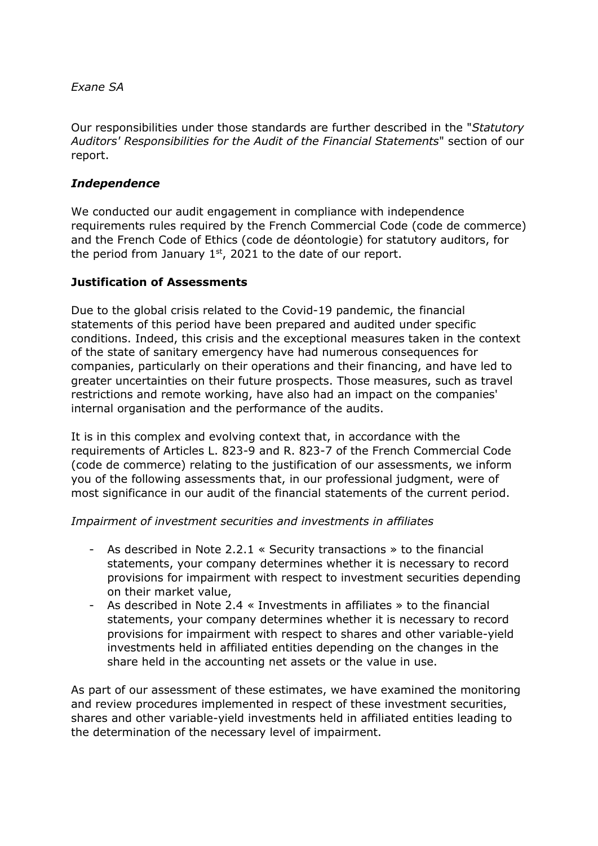Our responsibilities under those standards are further described in the "*Statutory Auditors' Responsibilities for the Audit of the Financial Statements*" section of our report.

## *Independence*

We conducted our audit engagement in compliance with independence requirements rules required by the French Commercial Code (code de commerce) and the French Code of Ethics (code de déontologie) for statutory auditors, for the period from January  $1<sup>st</sup>$ , 2021 to the date of our report.

## **Justification of Assessments**

Due to the global crisis related to the Covid-19 pandemic, the financial statements of this period have been prepared and audited under specific conditions. Indeed, this crisis and the exceptional measures taken in the context of the state of sanitary emergency have had numerous consequences for companies, particularly on their operations and their financing, and have led to greater uncertainties on their future prospects. Those measures, such as travel restrictions and remote working, have also had an impact on the companies' internal organisation and the performance of the audits.

It is in this complex and evolving context that, in accordance with the requirements of Articles L. 823-9 and R. 823-7 of the French Commercial Code (code de commerce) relating to the justification of our assessments, we inform you of the following assessments that, in our professional judgment, were of most significance in our audit of the financial statements of the current period.

## *Impairment of investment securities and investments in affiliates*

- As described in Note 2.2.1 « Security transactions » to the financial statements, your company determines whether it is necessary to record provisions for impairment with respect to investment securities depending on their market value,
- As described in Note 2.4 « Investments in affiliates » to the financial statements, your company determines whether it is necessary to record provisions for impairment with respect to shares and other variable-yield investments held in affiliated entities depending on the changes in the share held in the accounting net assets or the value in use.

As part of our assessment of these estimates, we have examined the monitoring and review procedures implemented in respect of these investment securities, shares and other variable-yield investments held in affiliated entities leading to the determination of the necessary level of impairment.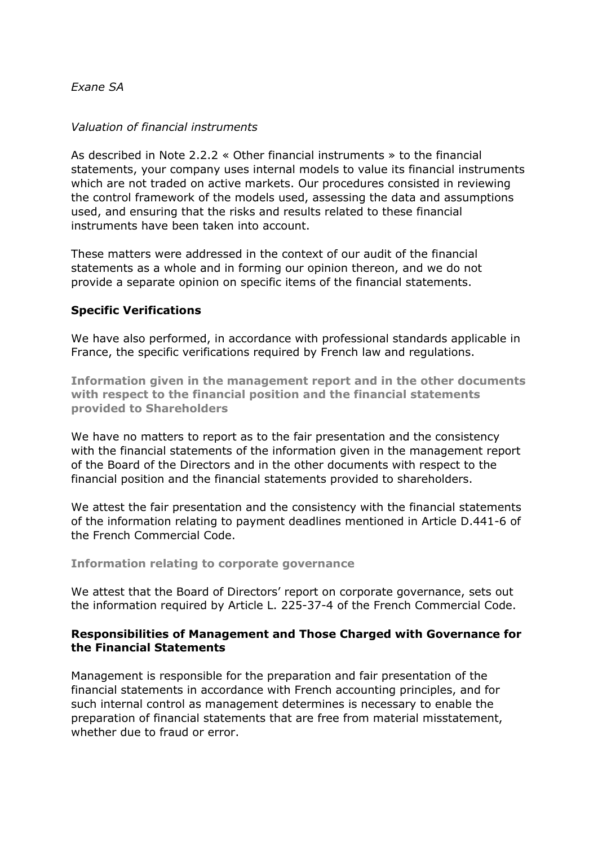## *Valuation of financial instruments*

As described in Note 2.2.2 « Other financial instruments » to the financial statements, your company uses internal models to value its financial instruments which are not traded on active markets. Our procedures consisted in reviewing the control framework of the models used, assessing the data and assumptions used, and ensuring that the risks and results related to these financial instruments have been taken into account.

These matters were addressed in the context of our audit of the financial statements as a whole and in forming our opinion thereon, and we do not provide a separate opinion on specific items of the financial statements.

## **Specific Verifications**

We have also performed, in accordance with professional standards applicable in France, the specific verifications required by French law and regulations.

**Information given in the management report and in the other documents with respect to the financial position and the financial statements provided to Shareholders**

We have no matters to report as to the fair presentation and the consistency with the financial statements of the information given in the management report of the Board of the Directors and in the other documents with respect to the financial position and the financial statements provided to shareholders.

We attest the fair presentation and the consistency with the financial statements of the information relating to payment deadlines mentioned in Article D.441-6 of the French Commercial Code.

## **Information relating to corporate governance**

We attest that the Board of Directors' report on corporate governance, sets out the information required by Article L. 225-37-4 of the French Commercial Code.

## **Responsibilities of Management and Those Charged with Governance for the Financial Statements**

Management is responsible for the preparation and fair presentation of the financial statements in accordance with French accounting principles, and for such internal control as management determines is necessary to enable the preparation of financial statements that are free from material misstatement, whether due to fraud or error.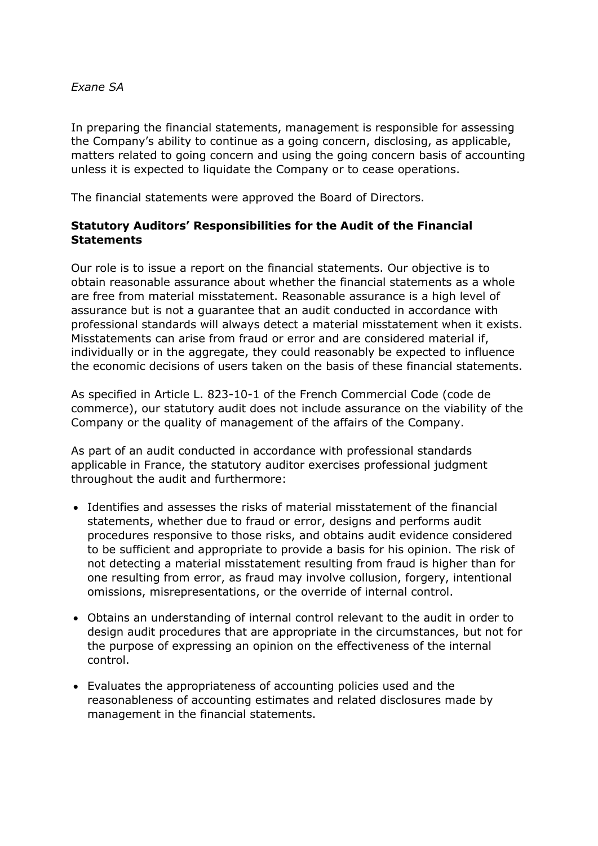In preparing the financial statements, management is responsible for assessing the Company's ability to continue as a going concern, disclosing, as applicable, matters related to going concern and using the going concern basis of accounting unless it is expected to liquidate the Company or to cease operations.

The financial statements were approved the Board of Directors.

## **Statutory Auditors' Responsibilities for the Audit of the Financial Statements**

Our role is to issue a report on the financial statements. Our objective is to obtain reasonable assurance about whether the financial statements as a whole are free from material misstatement. Reasonable assurance is a high level of assurance but is not a guarantee that an audit conducted in accordance with professional standards will always detect a material misstatement when it exists. Misstatements can arise from fraud or error and are considered material if, individually or in the aggregate, they could reasonably be expected to influence the economic decisions of users taken on the basis of these financial statements.

As specified in Article L. 823-10-1 of the French Commercial Code (code de commerce), our statutory audit does not include assurance on the viability of the Company or the quality of management of the affairs of the Company.

As part of an audit conducted in accordance with professional standards applicable in France, the statutory auditor exercises professional judgment throughout the audit and furthermore:

- Identifies and assesses the risks of material misstatement of the financial statements, whether due to fraud or error, designs and performs audit procedures responsive to those risks, and obtains audit evidence considered to be sufficient and appropriate to provide a basis for his opinion. The risk of not detecting a material misstatement resulting from fraud is higher than for one resulting from error, as fraud may involve collusion, forgery, intentional omissions, misrepresentations, or the override of internal control.
- Obtains an understanding of internal control relevant to the audit in order to design audit procedures that are appropriate in the circumstances, but not for the purpose of expressing an opinion on the effectiveness of the internal control.
- Evaluates the appropriateness of accounting policies used and the reasonableness of accounting estimates and related disclosures made by management in the financial statements.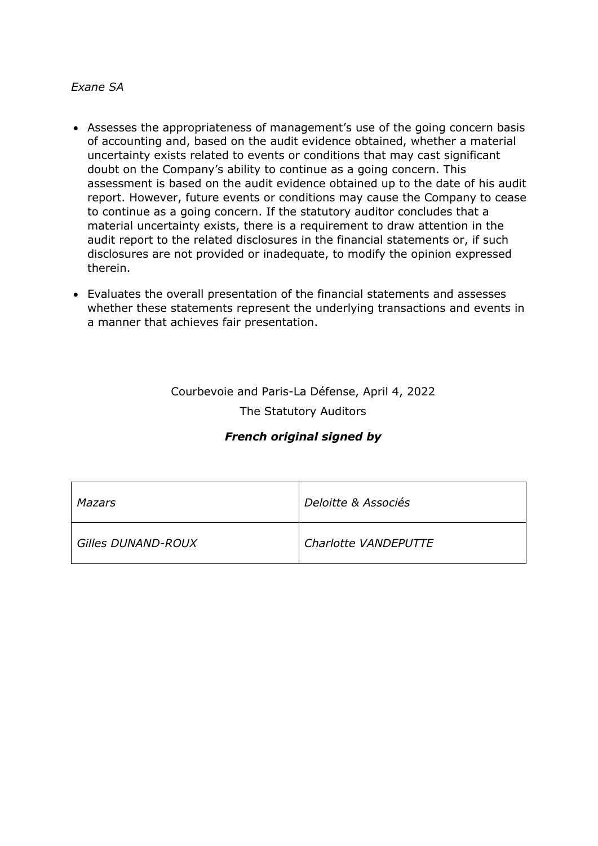- Assesses the appropriateness of management's use of the going concern basis of accounting and, based on the audit evidence obtained, whether a material uncertainty exists related to events or conditions that may cast significant doubt on the Company's ability to continue as a going concern. This assessment is based on the audit evidence obtained up to the date of his audit report. However, future events or conditions may cause the Company to cease to continue as a going concern. If the statutory auditor concludes that a material uncertainty exists, there is a requirement to draw attention in the audit report to the related disclosures in the financial statements or, if such disclosures are not provided or inadequate, to modify the opinion expressed therein.
- Evaluates the overall presentation of the financial statements and assesses whether these statements represent the underlying transactions and events in a manner that achieves fair presentation.

# Courbevoie and Paris-La Défense, April 4, 2022 The Statutory Auditors

## *French original signed by*

| Mazars             | Deloitte & Associés  |
|--------------------|----------------------|
| Gilles DUNAND-ROUX | Charlotte VANDEPUTTE |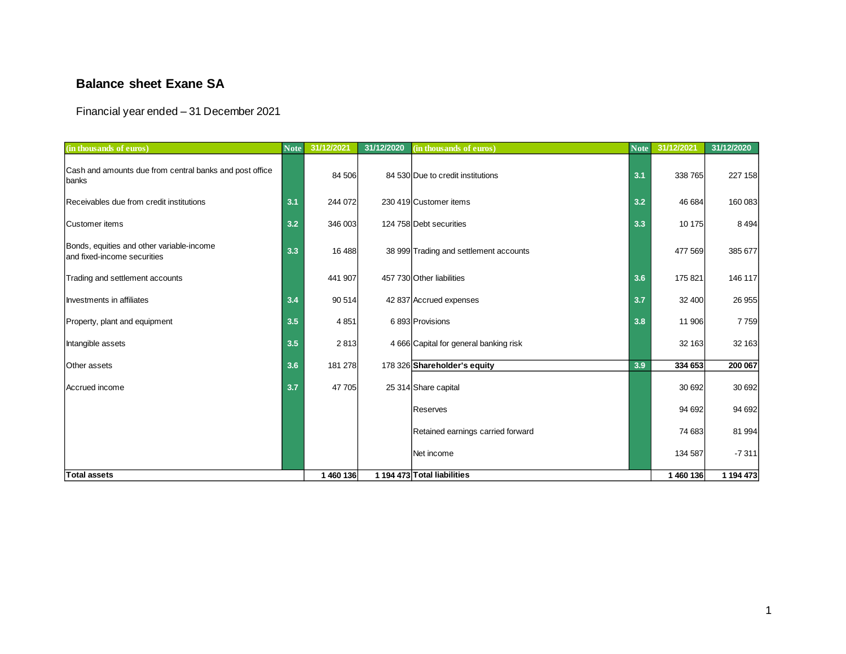## **Balance sheet Exane SA**

## Financial year ended – 31 December 2021

| (in thousands of euros)                                                  | <b>Note</b> | 31/12/2021 | 31/12/2020 | (in thousands of euros)                | <b>Note</b> | 31/12/2021 | 31/12/2020 |
|--------------------------------------------------------------------------|-------------|------------|------------|----------------------------------------|-------------|------------|------------|
| Cash and amounts due from central banks and post office<br>banks         |             | 84 506     |            | 84 530 Due to credit institutions      | 3.1         | 338765     | 227 158    |
| Receivables due from credit institutions                                 | 3.1         | 244 072    |            | 230 419 Customer items                 | 3.2         | 46 684     | 160 083    |
| Customer items                                                           | 3.2         | 346 003    |            | 124 758 Debt securities                | 3.3         | 10 175     | 8 4 9 4    |
| Bonds, equities and other variable-income<br>and fixed-income securities | 3.3         | 16 4 88    |            | 38 999 Trading and settlement accounts |             | 477 569    | 385 677    |
| Trading and settlement accounts                                          |             | 441 907    |            | 457 730 Other liabilities              | 3.6         | 175 821    | 146 117    |
| Investments in affiliates                                                | 3.4         | 90 514     |            | 42 837 Accrued expenses                | 3.7         | 32 400     | 26 955     |
| Property, plant and equipment                                            | 3.5         | 4851       |            | 6893 Provisions                        |             | 11 906     | 7759       |
| Intangible assets                                                        | 3.5         | 2813       |            | 4 666 Capital for general banking risk |             | 32 163     | 32 163     |
| Other assets                                                             | 3.6         | 181 278    |            | 178 326 Shareholder's equity           | 3.9         | 334 653    | 200 067    |
| Accrued income                                                           | 3.7         | 47 705     |            | 25 314 Share capital                   |             | 30 692     | 30 692     |
|                                                                          |             |            |            | Reserves                               |             | 94 692     | 94 692     |
|                                                                          |             |            |            | Retained earnings carried forward      |             | 74 683     | 81 994     |
|                                                                          |             |            |            | Net income                             |             | 134 587    | $-7311$    |
| <b>Total assets</b>                                                      |             | 1 460 136  |            | 1 194 473 Total liabilities            |             | 1460136    | 1 194 473  |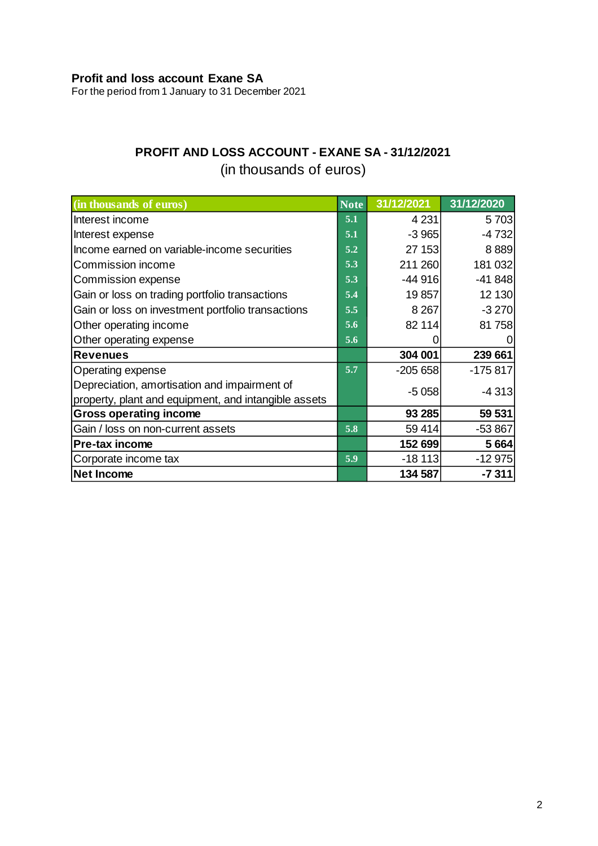## **Profit and loss account Exane SA**

For the period from 1 January to 31 December 2021

# **PROFIT AND LOSS ACCOUNT - EXANE SA - 31/12/2021**

# (in thousands of euros)

| (in thousands of euros)                                                                              | <b>Note</b> | 31/12/2021 | 31/12/2020 |
|------------------------------------------------------------------------------------------------------|-------------|------------|------------|
| Interest income                                                                                      | 5.1         | 4 2 3 1    | 5703       |
| Interest expense                                                                                     | 5.1         | $-3965$    | $-4732$    |
| Income earned on variable-income securities                                                          | 5.2         | 27 153     | 8889       |
| Commission income                                                                                    | 5.3         | 211 260    | 181 032    |
| Commission expense                                                                                   | 5.3         | $-44916$   | $-41848$   |
| Gain or loss on trading portfolio transactions                                                       | 5.4         | 19 857     | 12 130     |
| Gain or loss on investment portfolio transactions                                                    | 5.5         | 8 2 6 7    | $-3270$    |
| Other operating income                                                                               | 5.6         | 82 114     | 81 758     |
| Other operating expense                                                                              | 5.6         |            |            |
| Revenues                                                                                             |             | 304 001    | 239 661    |
| Operating expense                                                                                    | 5.7         | $-205658$  | $-175817$  |
| Depreciation, amortisation and impairment of<br>property, plant and equipment, and intangible assets |             | $-5058$    | $-4313$    |
| <b>Gross operating income</b>                                                                        |             | 93 285     | 59 531     |
| Gain / loss on non-current assets                                                                    | 5.8         | 59 414     | $-53867$   |
| Pre-tax income                                                                                       |             | 152 699    | 5 6 64     |
| Corporate income tax                                                                                 | 5.9         | $-18113$   | $-12975$   |
| Net Income                                                                                           |             | 134 587    | $-7311$    |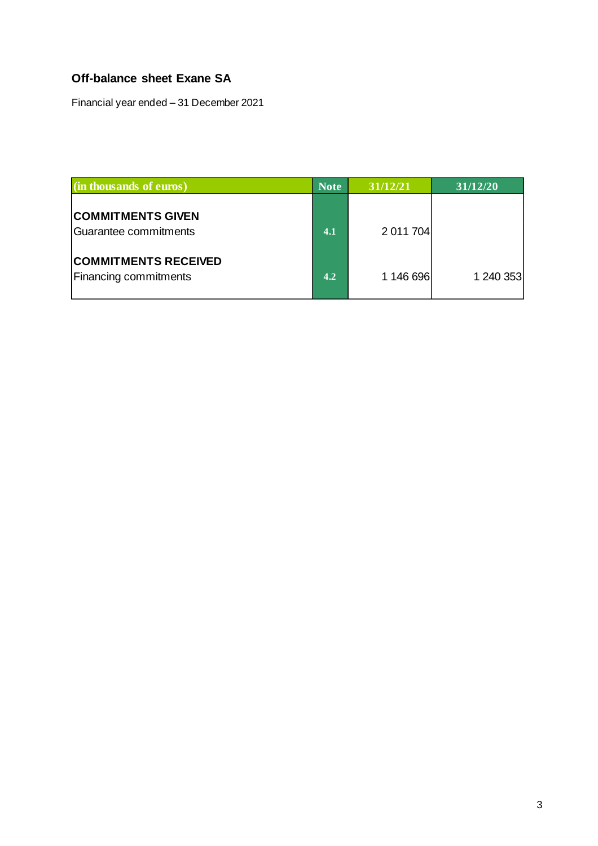## **Off-balance sheet Exane SA**

Financial year ended – 31 December 2021

| (in thousands of euros)                                     | <b>Note</b> | 31/12/21  | 31/12/20  |
|-------------------------------------------------------------|-------------|-----------|-----------|
| <b>COMMITMENTS GIVEN</b><br>Guarantee commitments           | 4.1         | 2 011 704 |           |
| <b>COMMITMENTS RECEIVED</b><br><b>Financing commitments</b> | 4.2         | 1 146 696 | 1 240 353 |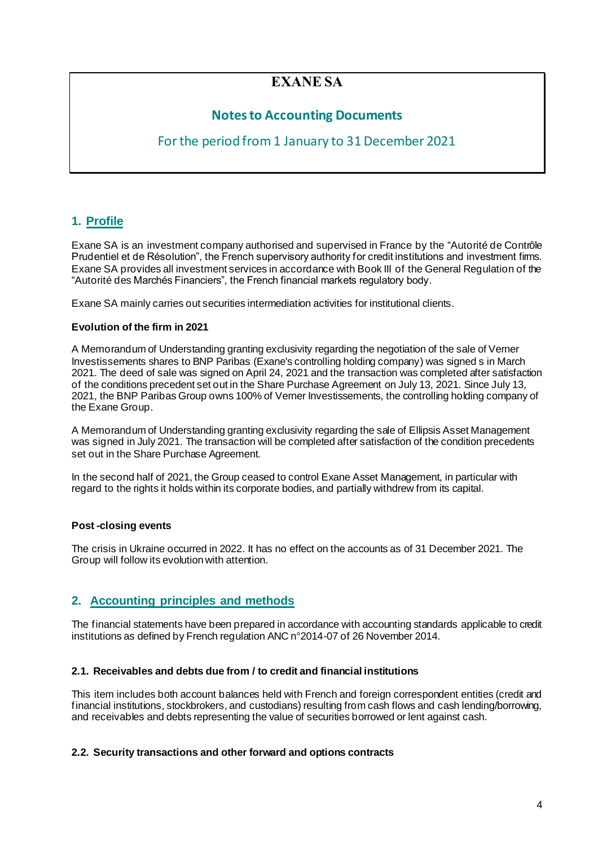# **EXANE SA**

## **Notes to Accounting Documents**

## For the period from 1 January to 31 December 2021

## **1. Profile**

Exane SA is an investment company authorised and supervised in France by the "Autorité de Contrôle Prudentiel et de Résolution", the French supervisory authority for credit institutions and investment firms. Exane SA provides all investment services in accordance with Book III of the General Regulation of the "Autorité des Marchés Financiers", the French financial markets regulatory body.

Exane SA mainly carries out securities intermediation activities for institutional clients.

#### **Evolution of the firm in 2021**

A Memorandum of Understanding granting exclusivity regarding the negotiation of the sale of Verner Investissements shares to BNP Paribas (Exane's controlling holding company) was signed s in March 2021. The deed of sale was signed on April 24, 2021 and the transaction was completed after satisfaction of the conditions precedent set out in the Share Purchase Agreement on July 13, 2021. Since July 13, 2021, the BNP Paribas Group owns 100% of Verner Investissements, the controlling holding company of the Exane Group.

A Memorandum of Understanding granting exclusivity regarding the sale of Ellipsis Asset Management was signed in July 2021. The transaction will be completed after satisfaction of the condition precedents set out in the Share Purchase Agreement.

In the second half of 2021, the Group ceased to control Exane Asset Management, in particular with regard to the rights it holds within its corporate bodies, and partially withdrew from its capital.

#### **Post -closing events**

The crisis in Ukraine occurred in 2022. It has no effect on the accounts as of 31 December 2021. The Group will follow its evolution with attention.

## **2. Accounting principles and methods**

The financial statements have been prepared in accordance with accounting standards applicable to credit institutions as defined by French regulation ANC n°2014-07 of 26 November 2014.

#### **2.1. Receivables and debts due from / to credit and financial institutions**

This item includes both account balances held with French and foreign correspondent entities (credit and financial institutions, stockbrokers, and custodians) resulting from cash flows and cash lending/borrowing, and receivables and debts representing the value of securities borrowed or lent against cash.

## **2.2. Security transactions and other forward and options contracts**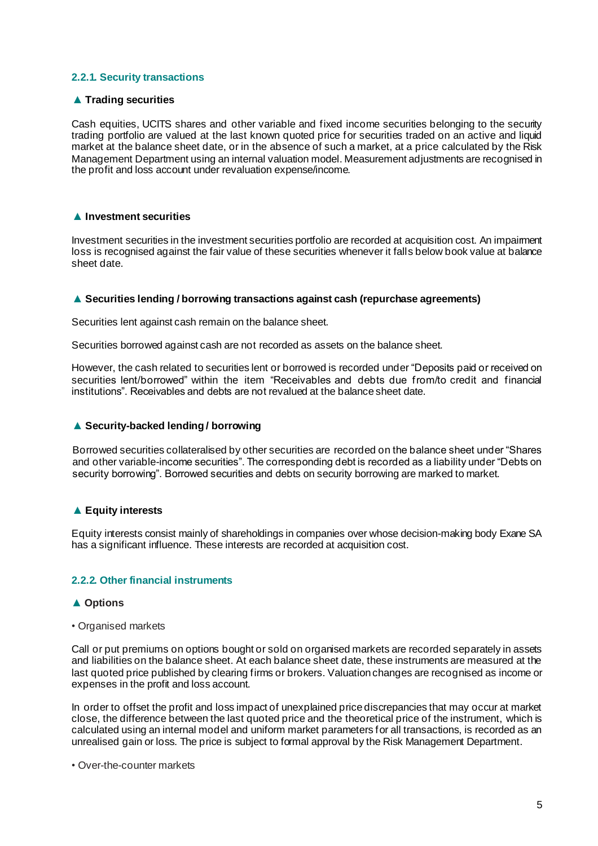#### **2.2.1. Security transactions**

#### ▲ **Trading securities**

Cash equities, UCITS shares and other variable and fixed income securities belonging to the security trading portfolio are valued at the last known quoted price for securities traded on an active and liquid market at the balance sheet date, or in the absence of such a market, at a price calculated by the Risk Management Department using an internal valuation model. Measurement adjustments are recognised in the profit and loss account under revaluation expense/income.

#### ▲ **Investment securities**

Investment securities in the investment securities portfolio are recorded at acquisition cost. An impairment loss is recognised against the fair value of these securities whenever it falls below book value at balance sheet date.

#### ▲ **Securities lending / borrowing transactions against cash (repurchase agreements)**

Securities lent against cash remain on the balance sheet.

Securities borrowed against cash are not recorded as assets on the balance sheet.

However, the cash related to securities lent or borrowed is recorded under "Deposits paid or received on securities lent/borrowed" within the item "Receivables and debts due from/to credit and financial institutions". Receivables and debts are not revalued at the balance sheet date.

#### ▲ **Security-backed lending / borrowing**

Borrowed securities collateralised by other securities are recorded on the balance sheet under "Shares and other variable-income securities". The corresponding debt is recorded as a liability under "Debts on security borrowing". Borrowed securities and debts on security borrowing are marked to market.

#### ▲ **Equity interests**

Equity interests consist mainly of shareholdings in companies over whose decision-making body Exane SA has a significant influence. These interests are recorded at acquisition cost.

#### **2.2.2. Other financial instruments**

#### ▲ **Options**

*•* Organised markets

Call or put premiums on options bought or sold on organised markets are recorded separately in assets and liabilities on the balance sheet. At each balance sheet date, these instruments are measured at the last quoted price published by clearing firms or brokers. Valuation changes are recognised as income or expenses in the profit and loss account.

In order to offset the profit and loss impact of unexplained price discrepancies that may occur at market close, the difference between the last quoted price and the theoretical price of the instrument, which is calculated using an internal model and uniform market parameters for all transactions, is recorded as an unrealised gain or loss. The price is subject to formal approval by the Risk Management Department.

*•* Over-the-counter markets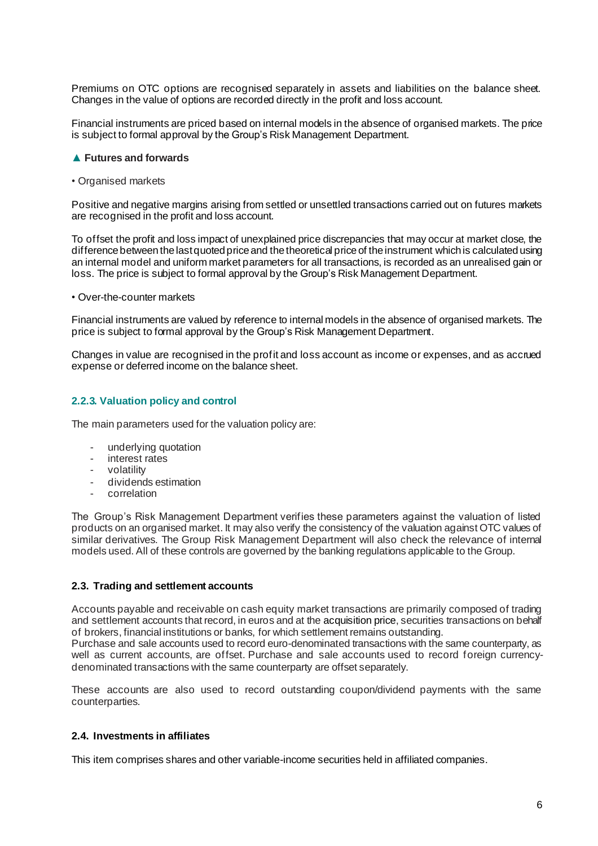Premiums on OTC options are recognised separately in assets and liabilities on the balance sheet. Changes in the value of options are recorded directly in the profit and loss account.

Financial instruments are priced based on internal models in the absence of organised markets. The price is subject to formal approval by the Group's Risk Management Department.

#### ▲ **Futures and forwards**

*•* Organised markets

Positive and negative margins arising from settled or unsettled transactions carried out on futures markets are recognised in the profit and loss account.

To offset the profit and loss impact of unexplained price discrepancies that may occur at market close, the difference between the last quoted price and the theoretical price of the instrument which is calculated using an internal model and uniform market parameters for all transactions, is recorded as an unrealised gain or loss. The price is subject to formal approval by the Group's Risk Management Department.

*•* Over-the-counter markets

Financial instruments are valued by reference to internal models in the absence of organised markets. The price is subject to formal approval by the Group's Risk Management Department.

Changes in value are recognised in the profit and loss account as income or expenses, and as accrued expense or deferred income on the balance sheet.

#### **2.2.3. Valuation policy and control**

The main parameters used for the valuation policy are:

- underlying quotation
- interest rates
- volatility
- dividends estimation
- correlation

The Group's Risk Management Department verifies these parameters against the valuation of listed products on an organised market. It may also verify the consistency of the valuation against OTC values of similar derivatives. The Group Risk Management Department will also check the relevance of internal models used. All of these controls are governed by the banking regulations applicable to the Group.

#### **2.3. Trading and settlement accounts**

Accounts payable and receivable on cash equity market transactions are primarily composed of trading and settlement accounts that record, in euros and at the acquisition price, securities transactions on behalf of brokers, financial institutions or banks, for which settlement remains outstanding.

Purchase and sale accounts used to record euro-denominated transactions with the same counterparty, as well as current accounts, are offset. Purchase and sale accounts used to record foreign currencydenominated transactions with the same counterparty are offset separately.

These accounts are also used to record outstanding coupon/dividend payments with the same counterparties.

#### **2.4. Investments in affiliates**

This item comprises shares and other variable-income securities held in affiliated companies.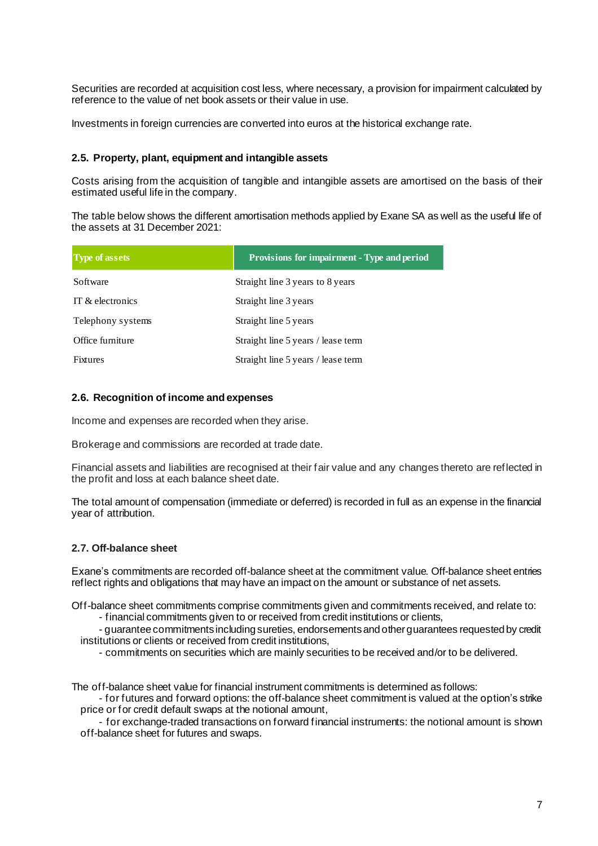Securities are recorded at acquisition cost less, where necessary, a provision for impairment calculated by reference to the value of net book assets or their value in use.

Investments in foreign currencies are converted into euros at the historical exchange rate.

#### **2.5. Property, plant, equipment and intangible assets**

Costs arising from the acquisition of tangible and intangible assets are amortised on the basis of their estimated useful life in the company.

The table below shows the different amortisation methods applied by Exane SA as well as the useful life of the assets at 31 December 2021:

| <b>Type of assets</b> | <b>Provisions for impairment - Type and period</b> |
|-----------------------|----------------------------------------------------|
| Software              | Straight line 3 years to 8 years                   |
| IT & electronics      | Straight line 3 years                              |
| Telephony systems     | Straight line 5 years                              |
| Office furniture      | Straight line 5 years / lease term                 |
| Fixtures              | Straight line 5 years / lease term                 |

#### **2.6. Recognition of income and expenses**

Income and expenses are recorded when they arise.

Brokerage and commissions are recorded at trade date.

Financial assets and liabilities are recognised at their fair value and any changes thereto are reflected in the profit and loss at each balance sheet date.

The total amount of compensation (immediate or deferred) is recorded in full as an expense in the financial year of attribution.

#### **2.7. Off-balance sheet**

Exane's commitments are recorded off-balance sheet at the commitment value. Off-balance sheet entries reflect rights and obligations that may have an impact on the amount or substance of net assets.

Off-balance sheet commitments comprise commitments given and commitments received, and relate to:

- financial commitments given to or received from credit institutions or clients,

- guarantee commitments including sureties, endorsements and other guarantees requested by credit institutions or clients or received from credit institutions,

- commitments on securities which are mainly securities to be received and/or to be delivered.

The off-balance sheet value for financial instrument commitments is determined as follows:

- for futures and forward options: the off-balance sheet commitment is valued at the option's strike price or for credit default swaps at the notional amount,

- for exchange-traded transactions on forward financial instruments: the notional amount is shown off-balance sheet for futures and swaps.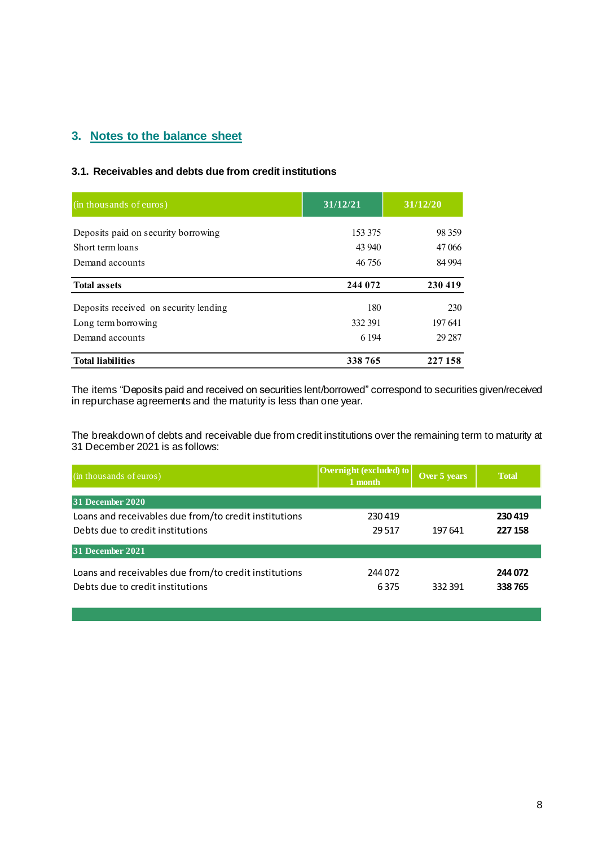## **3. Notes to the balance sheet**

#### **3.1. Receivables and debts due from credit institutions**

| (in thousands of euros)               | 31/12/21 | 31/12/20 |  |
|---------------------------------------|----------|----------|--|
| Deposits paid on security borrowing   | 153 375  | 98 359   |  |
| Short term loans                      | 43 940   | 47 066   |  |
| Demand accounts                       | 46 756   |          |  |
| <b>Total assets</b>                   | 244 072  | 230 419  |  |
| Deposits received on security lending | 180      | 230      |  |
| Long term borrowing                   | 332 391  | 197641   |  |
| Demand accounts                       | 6 1 9 4  | 29 287   |  |
| <b>Total liabilities</b>              | 338 765  | 227 158  |  |

The items "Deposits paid and received on securities lent/borrowed" correspond to securities given/received in repurchase agreements and the maturity is less than one year.

The breakdown of debts and receivable due from credit institutions over the remaining term to maturity at 31 December 2021 is as follows:

| (in thousands of euros)                               | Overnight (excluded) to<br>1 month | Over 5 years | <b>Total</b> |
|-------------------------------------------------------|------------------------------------|--------------|--------------|
| 31 December 2020                                      |                                    |              |              |
| Loans and receivables due from/to credit institutions | 230419                             |              | 230419       |
| Debts due to credit institutions                      | 29.517                             | 197 641      | 227 158      |
| 31 December 2021                                      |                                    |              |              |
| Loans and receivables due from/to credit institutions | 244 072                            |              | 244 072      |
| Debts due to credit institutions                      | 6375                               | 332391       | 338765       |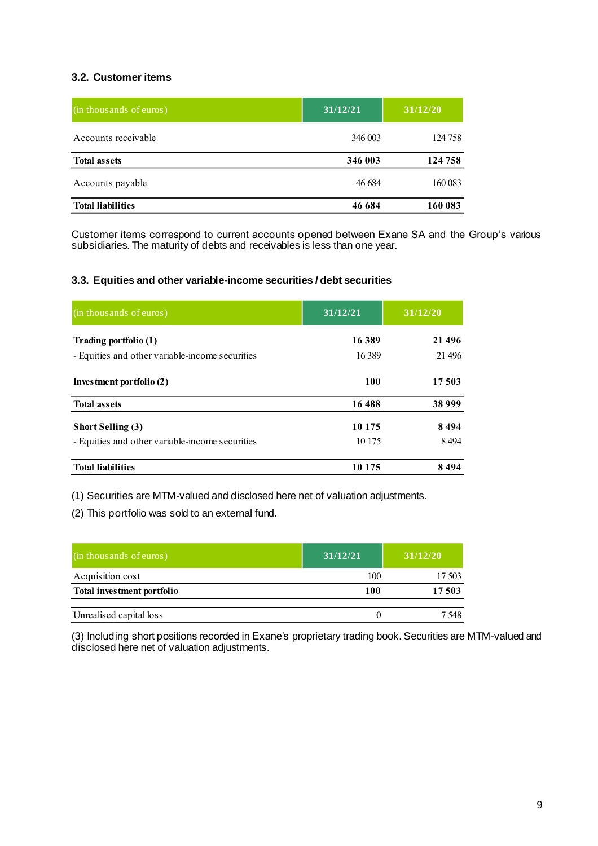## **3.2. Customer items**

| (in thousands of euros)  | 31/12/21 | 31/12/20 |  |
|--------------------------|----------|----------|--|
| Accounts receivable      | 346 003  | 124 758  |  |
| <b>Total assets</b>      | 346 003  | 124 758  |  |
| Accounts payable         | 46 684   | 160 083  |  |
| <b>Total liabilities</b> | 46 684   |          |  |

Customer items correspond to current accounts opened between Exane SA and the Group's various subsidiaries. The maturity of debts and receivables is less than one year.

#### **3.3. Equities and other variable-income securities / debt securities**

| (in thousands of euros)                         | 31/12/21   | 31/12/20 |  |
|-------------------------------------------------|------------|----------|--|
| Trading portfolio (1)                           | 16389      | 21 4 9 6 |  |
| - Equities and other variable-income securities | 16 3 89    | 21 4 9 6 |  |
| Investment portfolio (2)                        | <b>100</b> | 17 503   |  |
| <b>Total assets</b>                             | 16488      | 38 999   |  |
| Short Selling (3)                               | 10 175     | 8494     |  |
| - Equities and other variable-income securities | 10 175     | 8494     |  |
| <b>Total liabilities</b>                        | 10 175     | 8494     |  |

(1) Securities are MTM-valued and disclosed here net of valuation adjustments.

(2) This portfolio was sold to an external fund.

| (in thousands of euros)    | 31/12/21 | 31/12/20 |
|----------------------------|----------|----------|
| Acquisition cost           | 100      | 17 503   |
| Total investment portfolio | 100      | 17 503   |
| Unrealised capital loss    | O        | 7 548    |

(3) Including short positions recorded in Exane's proprietary trading book. Securities are MTM-valued and disclosed here net of valuation adjustments.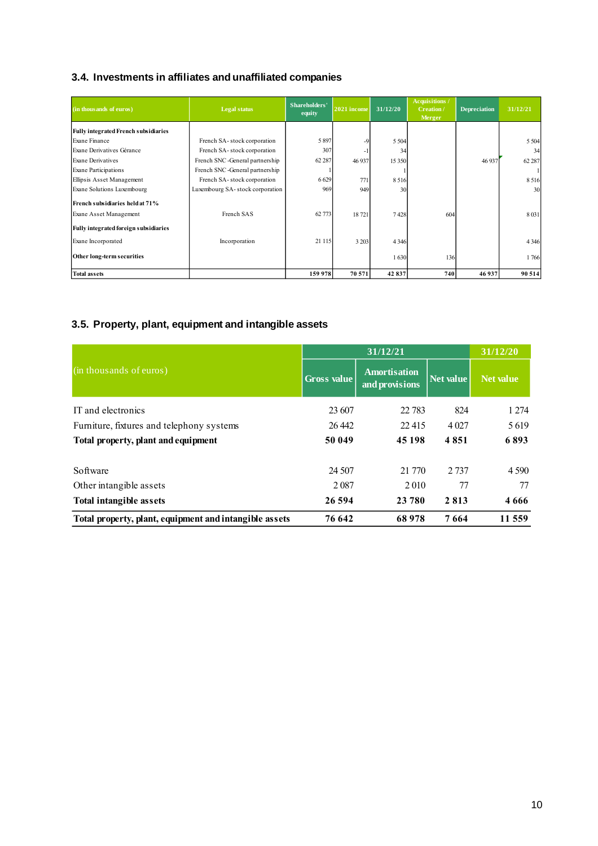## **3.4. Investments in affiliates and unaffiliated companies**

| (in thousands of euros)                     | <b>Legal status</b>             | Shareholders'<br>equity | $2021$ income | 31/12/20 | Acquisitions /<br>Creation/<br>Merger | <b>Depreciation</b> | 31/12/21 |
|---------------------------------------------|---------------------------------|-------------------------|---------------|----------|---------------------------------------|---------------------|----------|
| <b>Fully integrated French subsidiaries</b> |                                 |                         |               |          |                                       |                     |          |
| Exane Finance                               | French SA-stock corporation     | 5897                    | -9            | 5 5 0 4  |                                       |                     | 5 5 0 4  |
| Exane Derivatives Gérance                   | French SA-stock corporation     | 307                     |               | 34       |                                       |                     | 34       |
| Exane Derivatives                           | French SNC -General partnership | 62 287                  | 46 9 37       | 15 350   |                                       | 46 937              | 62 287   |
| <b>Exane Participations</b>                 | French SNC -General partnership |                         |               |          |                                       |                     |          |
| Ellipsis Asset Management                   | French SA-stock corporation     | 6629                    | 771           | 8516     |                                       |                     | 8516     |
| Exane Solutions Luxembourg                  | Luxembourg SA-stock corporation | 969                     | 949           | 30       |                                       |                     | 30       |
| French subsidiaries held at 71%             |                                 |                         |               |          |                                       |                     |          |
| Exane Asset Management                      | French SAS                      | 62 773                  | 18721         | 7428     | 604                                   |                     | 8031     |
| Fully integrated foreign subsidiaries       |                                 |                         |               |          |                                       |                     |          |
| Exane Incorporated                          | Incorporation                   | 21 1 15                 | 3 2 0 3       | 4 3 4 6  |                                       |                     | 4 3 4 6  |
| Other long-term securities                  |                                 |                         |               | 1630     | 136                                   |                     | 1766     |
| <b>Total assets</b>                         |                                 | 159 978                 | 70 571        | 42837    | 740                                   | 46937               | 90 514   |

## **3.5. Property, plant, equipment and intangible assets**

|                                                        |                    | 31/12/21                              |           |                  |  |
|--------------------------------------------------------|--------------------|---------------------------------------|-----------|------------------|--|
| (in thousands of euros)                                | <b>Gross value</b> | <b>Amortisation</b><br>and provisions | Net value | <b>Net value</b> |  |
| IT and electronics                                     | 23 607             | 22 783                                | 824       | 1 2 7 4          |  |
| Furniture, fixtures and telephony systems              | 26 442             | 22,415                                | 4 0 27    | 5619             |  |
| Total property, plant and equipment                    | 50 049             | 45 198                                | 4851      | 6893             |  |
| Software                                               | 24 507             | 21 770                                | 2 7 3 7   | 4 5 9 0          |  |
| Other intangible assets                                | 2087               | 2010                                  | 77        | 77               |  |
| <b>Total intangible assets</b>                         | 26 594             | 23 780                                | 2813      | 4666             |  |
| Total property, plant, equipment and intangible assets | 76 642             | 68978                                 | 7664      | 11 559           |  |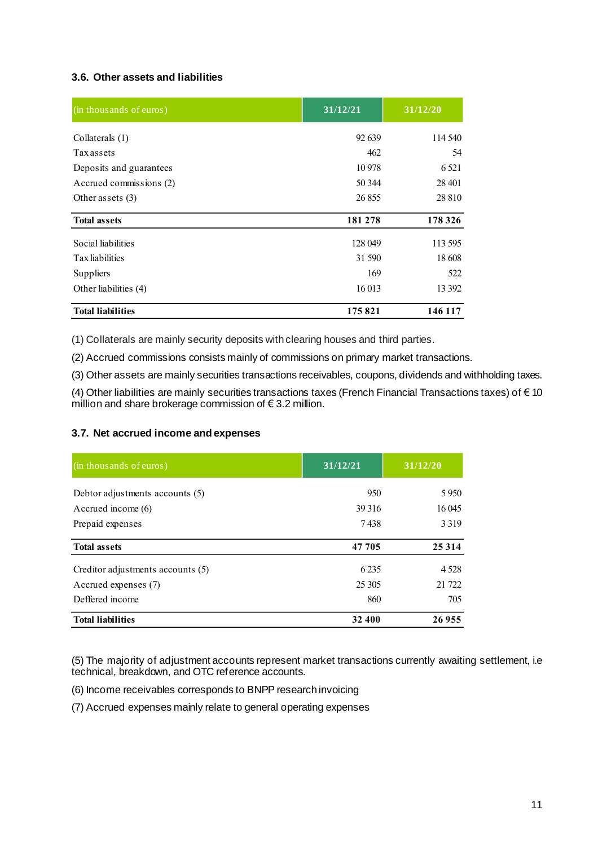## **3.6. Other assets and liabilities**

| (in thousands of euros)  | 31/12/21 | 31/12/20 |
|--------------------------|----------|----------|
| Collaterals (1)          | 92 639   | 114 540  |
| <b>Tax assets</b>        | 462      | 54       |
| Deposits and guarantees  | 10978    | 6 5 21   |
| Accrued commissions (2)  | 50 344   | 28 401   |
| Other assets $(3)$       | 26 855   | 28 8 10  |
| <b>Total assets</b>      | 181 278  | 178 326  |
| Social liabilities       | 128 049  | 113 595  |
| Tax liabilities          | 31 590   | 18 608   |
| Suppliers                | 169      | 522      |
| Other liabilities (4)    | 16 013   | 13 3 9 2 |
| <b>Total liabilities</b> | 175821   | 146 117  |

(1) Collaterals are mainly security deposits with clearing houses and third parties.

(2) Accrued commissions consists mainly of commissions on primary market transactions.

(3) Other assets are mainly securities transactions receivables, coupons, dividends and withholding taxes.

(4) Other liabilities are mainly securities transactions taxes (French Financial Transactions taxes) of € 10 million and share brokerage commission of € 3.2 million.

#### **3.7. Net accrued income and expenses**

| (in thousands of euros)           | 31/12/21 | 31/12/20 |
|-----------------------------------|----------|----------|
| Debtor adjustments accounts (5)   | 950      | 5950     |
| Accrued income $(6)$              | 39 31 6  | 16 045   |
| Prepaid expenses                  | 7438     | 3 3 1 9  |
| <b>Total assets</b>               | 47 705   | 25 3 14  |
| Creditor adjustments accounts (5) | 6 2 3 5  | 4 5 2 8  |
| Accrued expenses (7)              | 25 30 5  | 21 7 22  |
| Deffered income                   | 860      | 705      |
| <b>Total liabilities</b>          | 32 400   | 26955    |

(5) The majority of adjustment accounts represent market transactions currently awaiting settlement, i.e technical, breakdown, and OTC reference accounts.

(6) Income receivables corresponds to BNPP research invoicing

(7) Accrued expenses mainly relate to general operating expenses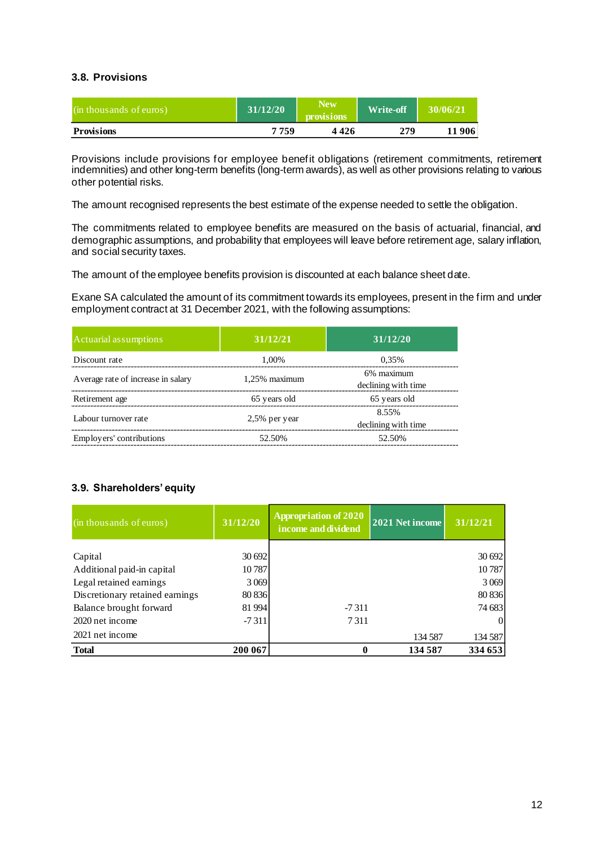#### **3.8. Provisions**

| (in thousands of euros) | 31/12/20 | <b>New</b><br><b>provisions</b> | <b>Write-off</b> | 30/06/21 |
|-------------------------|----------|---------------------------------|------------------|----------|
| <b>Provisions</b>       | 7759     | 4 4 2 6                         | 279              | -906     |

Provisions include provisions for employee benefit obligations (retirement commitments, retirement indemnities) and other long-term benefits (long-term awards), as well as other provisions relating to various other potential risks.

The amount recognised represents the best estimate of the expense needed to settle the obligation.

The commitments related to employee benefits are measured on the basis of actuarial, financial, and demographic assumptions, and probability that employees will leave before retirement age, salary inflation, and social security taxes.

The amount of the employee benefits provision is discounted at each balance sheet date.

Exane SA calculated the amount of its commitment towards its employees, present in the firm and under employment contract at 31 December 2021, with the following assumptions:

| Actuarial assumptions              | 31/12/21         | 31/12/20                          |
|------------------------------------|------------------|-----------------------------------|
| Discount rate                      | 1.00%            | 0.35%                             |
| Average rate of increase in salary | $1.25\%$ maximum | 6% maximum<br>declining with time |
| Retirement age                     | 65 years old     | 65 years old                      |
| Labour turnover rate               | $2,5%$ per year  | 8.55%<br>declining with time      |
| Employers' contributions           | 52.50%           | 52.50%                            |

## **3.9. Shareholders' equity**

| (in thousands of euros)         | 31/12/20 | Appropriation of 2020<br>income and dividend | 2021 Net income | 31/12/21 |
|---------------------------------|----------|----------------------------------------------|-----------------|----------|
|                                 |          |                                              |                 |          |
| Capital                         | 30 692   |                                              |                 | 30 692   |
| Additional paid-in capital      | 10787    |                                              |                 | 10787    |
| Legal retained earnings         | 3 0 6 9  |                                              |                 | 3 0 6 9  |
| Discretionary retained earnings | 80 836   |                                              |                 | 80 836   |
| Balance brought forward         | 81 994   | $-7311$                                      |                 | 74 683   |
| 2020 net income                 | $-7311$  | 7311                                         |                 |          |
| 2021 net income                 |          |                                              | 134 587         | 134 587  |
| <b>Total</b>                    | 200 067  | 0                                            | 134 587         | 334 653  |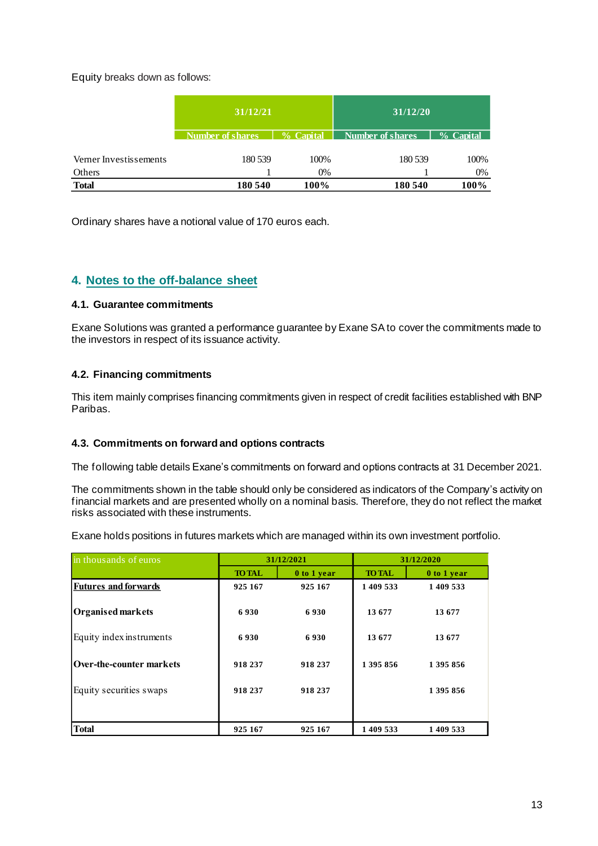Equity breaks down as follows:

|                        | 31/12/21         |              | 31/12/20                |           |
|------------------------|------------------|--------------|-------------------------|-----------|
|                        | Number of shares | $\%$ Canital | <b>Number of shares</b> | % Capital |
|                        |                  |              |                         |           |
| Verner Investissements | 180 539          | 100%         | 180 539                 | 100%      |
| Others                 |                  | 0%           |                         | 0%        |
| <b>Total</b>           | 180 540          | 100%         | 180 540                 | 100%      |

Ordinary shares have a notional value of 170 euros each.

## **4. Notes to the off-balance sheet**

#### **4.1. Guarantee commitments**

Exane Solutions was granted a performance guarantee by Exane SA to cover the commitments made to the investors in respect of its issuance activity.

## **4.2. Financing commitments**

This item mainly comprises financing commitments given in respect of credit facilities established with BNP Paribas.

## **4.3. Commitments on forward and options contracts**

The following table details Exane's commitments on forward and options contracts at 31 December 2021.

The commitments shown in the table should only be considered as indicators of the Company's activity on financial markets and are presented wholly on a nominal basis. Therefore, they do not reflect the market risks associated with these instruments.

Exane holds positions in futures markets which are managed within its own investment portfolio.

| in thousands of euros       | 31/12/2021    |             |               | 31/12/2020  |
|-----------------------------|---------------|-------------|---------------|-------------|
|                             | <b>TO TAL</b> | 0 to 1 year | <b>TO TAL</b> | 0 to 1 year |
| <b>Futures and forwards</b> | 925 167       | 925 167     | 1 409 533     | 1 409 533   |
| Organised markets           | 6930          | 6930        | 13 677        | 13 677      |
| Equity index instruments    | 6930          | 6930        | 13 677        | 13677       |
| Over-the-counter markets    | 918 237       | 918 237     | 1 395 856     | 1 395 856   |
| Equity securities swaps     | 918 237       | 918 237     |               | 1 395 856   |
| <b>Total</b>                | 925 167       | 925 167     | 1 409 533     | 1 409 533   |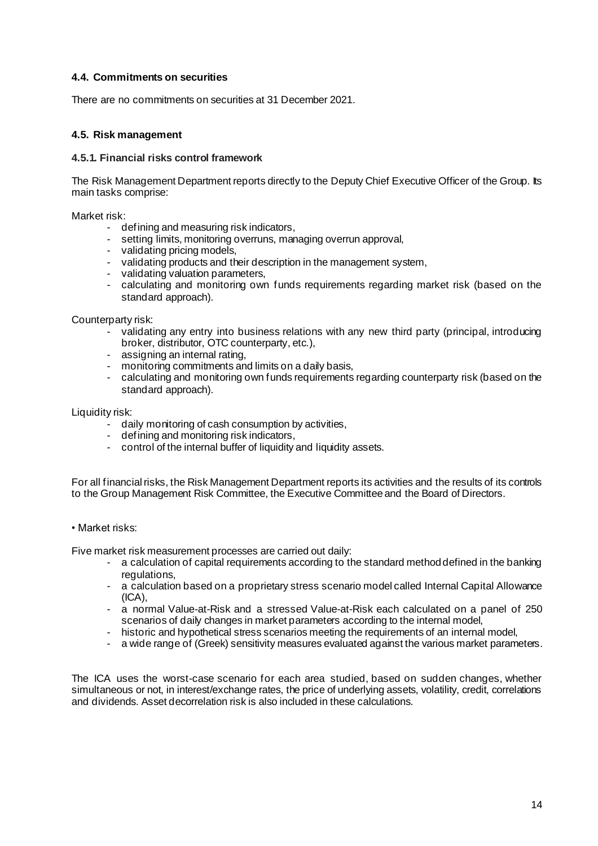#### **4.4. Commitments on securities**

There are no commitments on securities at 31 December 2021.

#### **4.5. Risk management**

#### **4.5.1. Financial risks control framework**

The Risk Management Department reports directly to the Deputy Chief Executive Officer of the Group. Its main tasks comprise:

Market risk:

- defining and measuring risk indicators,
- setting limits, monitoring overruns, managing overrun approval,
- validating pricing models,
- validating products and their description in the management system,
- validating valuation parameters,
- calculating and monitoring own funds requirements regarding market risk (based on the standard approach).

Counterparty risk:

- validating any entry into business relations with any new third party (principal, introducing broker, distributor, OTC counterparty, etc.),
- assigning an internal rating,
- monitoring commitments and limits on a daily basis,
- calculating and monitoring own funds requirements regarding counterparty risk (based on the standard approach).

Liquidity risk:

- daily monitoring of cash consumption by activities,
- defining and monitoring risk indicators,
- control of the internal buffer of liquidity and liquidity assets.

For all financial risks, the Risk Management Department reports its activities and the results of its controls to the Group Management Risk Committee, the Executive Committee and the Board of Directors.

• Market risks:

Five market risk measurement processes are carried out daily:

- a calculation of capital requirements according to the standard method defined in the banking regulations,
- a calculation based on a proprietary stress scenario model called Internal Capital Allowance  $(ICA)$ .
- a normal Value-at-Risk and a stressed Value-at-Risk each calculated on a panel of 250 scenarios of daily changes in market parameters according to the internal model,
- historic and hypothetical stress scenarios meeting the requirements of an internal model.
- a wide range of (Greek) sensitivity measures evaluated against the various market parameters.

The ICA uses the worst-case scenario for each area studied, based on sudden changes, whether simultaneous or not, in interest/exchange rates, the price of underlying assets, volatility, credit, correlations and dividends. Asset decorrelation risk is also included in these calculations.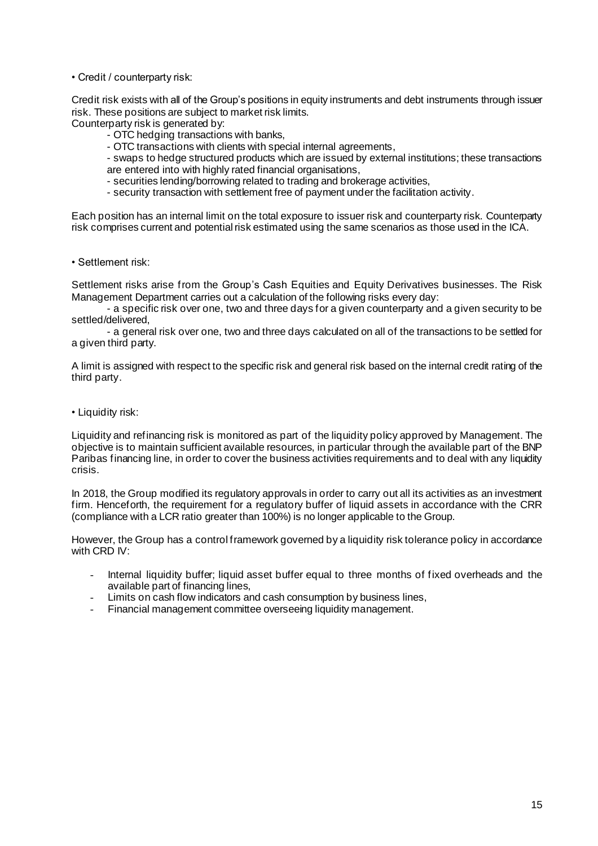• Credit / counterparty risk:

Credit risk exists with all of the Group's positions in equity instruments and debt instruments through issuer risk. These positions are subject to market risk limits.

Counterparty risk is generated by:

- OTC hedging transactions with banks,
- OTC transactions with clients with special internal agreements,
- swaps to hedge structured products which are issued by external institutions; these transactions are entered into with highly rated financial organisations,
- securities lending/borrowing related to trading and brokerage activities,
- security transaction with settlement free of payment under the facilitation activity.

Each position has an internal limit on the total exposure to issuer risk and counterparty risk. Counterparty risk comprises current and potential risk estimated using the same scenarios as those used in the ICA.

• Settlement risk:

Settlement risks arise from the Group's Cash Equities and Equity Derivatives businesses. The Risk Management Department carries out a calculation of the following risks every day:

- a specific risk over one, two and three days for a given counterparty and a given security to be settled/delivered,

- a general risk over one, two and three days calculated on all of the transactions to be settled for a given third party.

A limit is assigned with respect to the specific risk and general risk based on the internal credit rating of the third party.

• Liquidity risk:

Liquidity and refinancing risk is monitored as part of the liquidity policy approved by Management. The objective is to maintain sufficient available resources, in particular through the available part of the BNP Paribas financing line, in order to cover the business activities requirements and to deal with any liquidity crisis.

In 2018, the Group modified its regulatory approvals in order to carry out all its activities as an investment firm. Henceforth, the requirement for a regulatory buffer of liquid assets in accordance with the CRR (compliance with a LCR ratio greater than 100%) is no longer applicable to the Group.

However, the Group has a control framework governed by a liquidity risk tolerance policy in accordance with CRD IV:

- Internal liquidity buffer; liquid asset buffer equal to three months of fixed overheads and the available part of financing lines,
- Limits on cash flow indicators and cash consumption by business lines,
- Financial management committee overseeing liquidity management.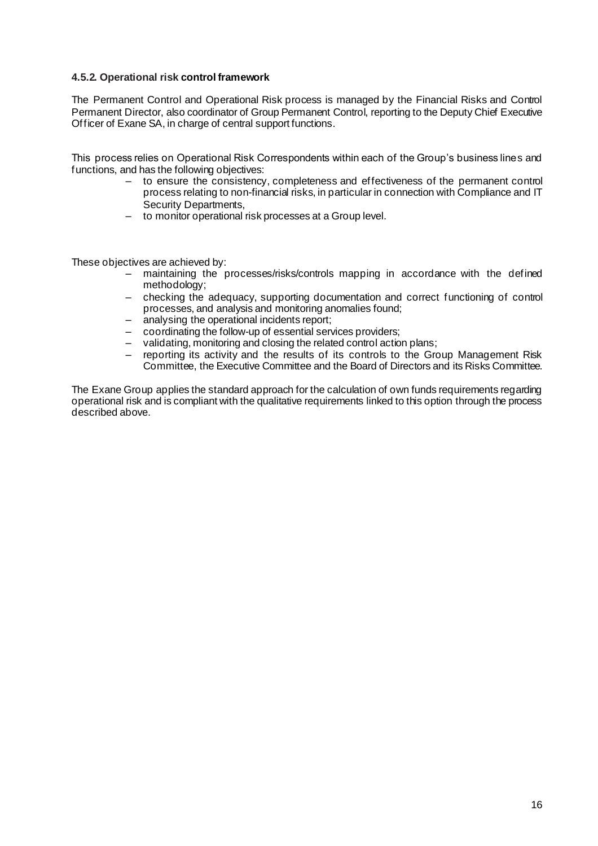#### **4.5.2. Operational risk control framework**

The Permanent Control and Operational Risk process is managed by the Financial Risks and Control Permanent Director, also coordinator of Group Permanent Control, reporting to the Deputy Chief Executive Officer of Exane SA, in charge of central support functions.

This process relies on Operational Risk Correspondents within each of the Group's business lines and functions, and has the following objectives:

- to ensure the consistency, completeness and effectiveness of the permanent control process relating to non-financial risks, in particular in connection with Compliance and IT Security Departments,
- to monitor operational risk processes at a Group level.

These objectives are achieved by:

- maintaining the processes/risks/controls mapping in accordance with the defined methodology;
- checking the adequacy, supporting documentation and correct functioning of control processes, and analysis and monitoring anomalies found;
- analysing the operational incidents report;
- coordinating the follow-up of essential services providers;
- validating, monitoring and closing the related control action plans;
- reporting its activity and the results of its controls to the Group Management Risk Committee, the Executive Committee and the Board of Directors and its Risks Committee.

The Exane Group applies the standard approach for the calculation of own funds requirements regarding operational risk and is compliant with the qualitative requirements linked to this option through the process described above.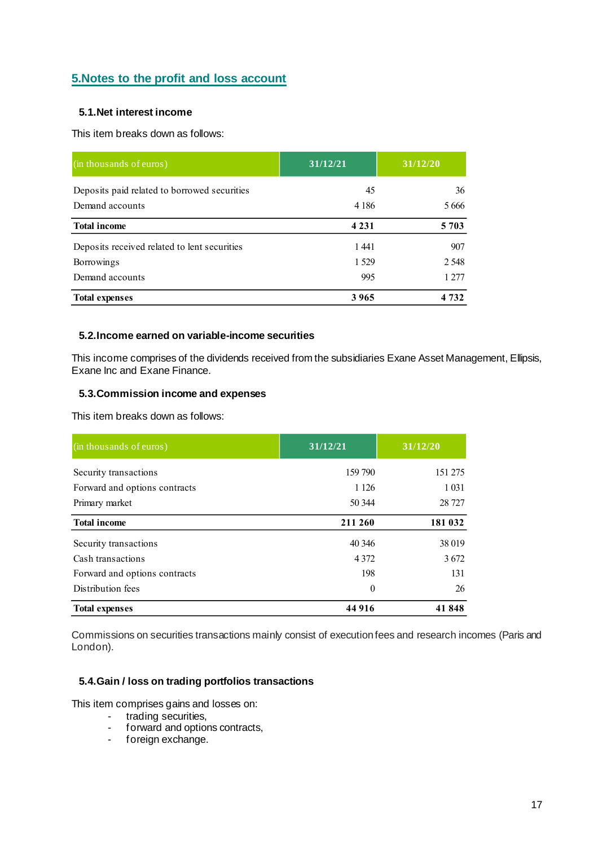## **5.Notes to the profit and loss account**

## **5.1.Net interest income**

This item breaks down as follows:

| (in thousands of euros)                      | 31/12/21 | 31/12/20 |
|----------------------------------------------|----------|----------|
| Deposits paid related to borrowed securities | 45       | 36       |
| Demand accounts                              | 4 1 8 6  | 5.666    |
| <b>Total income</b>                          | 4 2 3 1  | 5 7 0 3  |
| Deposits received related to lent securities | 1441     | 907      |
| Borrowings                                   | 1 5 2 9  | 2 5 4 8  |
| Demand accounts                              | 995      | 1 277    |
| <b>Total expenses</b>                        | 3965     | 4 7 3 2  |

#### **5.2.Income earned on variable-income securities**

This income comprises of the dividends received from the subsidiaries Exane Asset Management, Ellipsis, Exane Inc and Exane Finance.

## **5.3.Commission income and expenses**

This item breaks down as follows:

| (in thousands of euros)       | 31/12/21 | 31/12/20 |
|-------------------------------|----------|----------|
| Security transactions         | 159 790  | 151 275  |
| Forward and options contracts | 1 1 2 6  | 1 0 3 1  |
| Primary market                | 50 344   | 28 7 27  |
| <b>Total income</b>           | 211 260  | 181 032  |
| Security transactions         | 40 34 6  | 38 019   |
| Cash transactions             | 4 3 7 2  | 3672     |
| Forward and options contracts | 198      | 131      |
| Distribution fees             | $\Omega$ | 26       |
| <b>Total expenses</b>         | 44 916   | 41848    |

Commissions on securities transactions mainly consist of execution fees and research incomes (Paris and London).

## **5.4.Gain / loss on trading portfolios transactions**

This item comprises gains and losses on:

- trading securities,
- forward and options contracts,
- foreign exchange.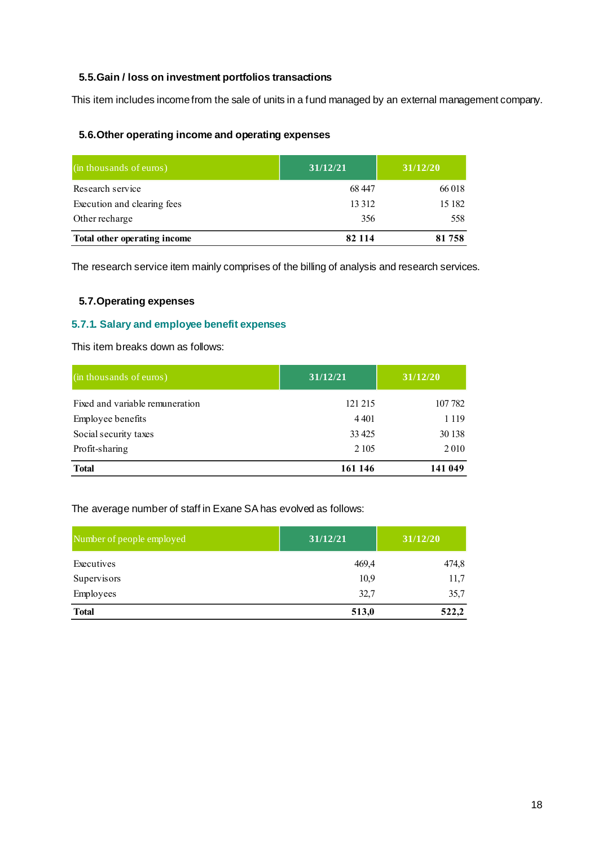### **5.5.Gain / loss on investment portfolios transactions**

This item includes income from the sale of units in a fund managed by an external management company.

## **5.6.Other operating income and operating expenses**

| (in thousands of euros)      | 31/12/21 | 31/12/20 |
|------------------------------|----------|----------|
| Research service             | 68 447   | 66 018   |
| Execution and clearing fees  | 13 3 12  | 15 182   |
| Other recharge               | 356      | 558      |
| Total other operating income | 82 1 1 4 | 81758    |

The research service item mainly comprises of the billing of analysis and research services.

## **5.7.Operating expenses**

#### **5.7.1. Salary and employee benefit expenses**

This item breaks down as follows:

| (in thousands of euros)         | 31/12/21 | 31/12/20 |
|---------------------------------|----------|----------|
| Fixed and variable remuneration | 121 215  | 107 782  |
| Employee benefits               | 4 4 0 1  | 1 1 1 9  |
| Social security taxes           | 33 4 25  | 30 138   |
| Profit-sharing                  | 2 1 0 5  | 2010     |
| <b>Total</b>                    | 161 146  | 141 049  |

The average number of staff in Exane SA has evolved as follows:

| Number of people employed | 31/12/21 | 31/12/20 |
|---------------------------|----------|----------|
| Executives                | 469,4    | 474,8    |
| Supervisors               | 10,9     | 11,7     |
| Employees                 | 32,7     | 35,7     |
| <b>Total</b>              | 513,0    | 522,2    |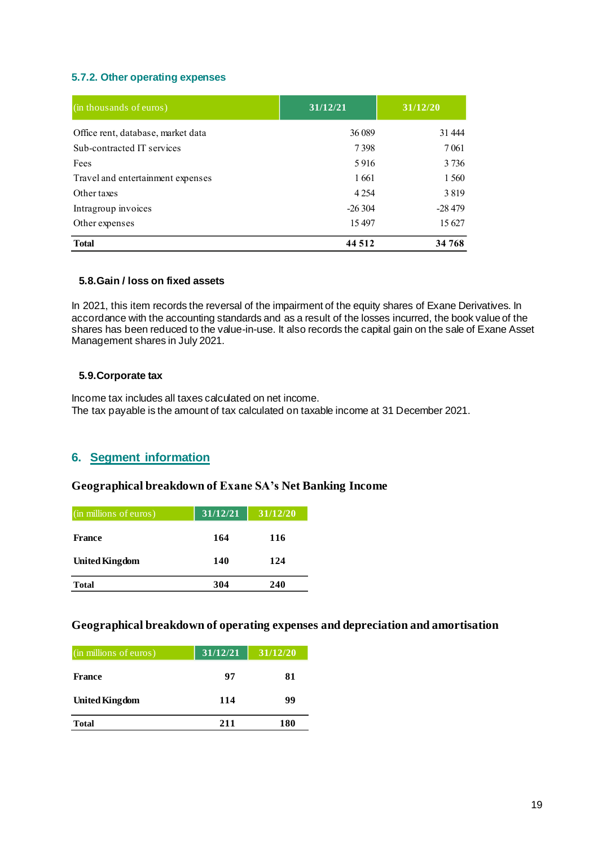#### **5.7.2. Other operating expenses**

| (in thousands of euros)            | 31/12/21 | 31/12/20 |  |
|------------------------------------|----------|----------|--|
| Office rent, database, market data | 36 089   | 31 444   |  |
| Sub-contracted IT services         | 7398     | 7 0 61   |  |
| Fees                               | 5916     | 3 7 3 6  |  |
| Travel and entertainment expenses  | 1661     | 1 560    |  |
| Other taxes                        | 4 2 5 4  | 3819     |  |
| Intragroup invoices                | $-26304$ | $-28479$ |  |
| Other expenses                     | 15497    | 15 627   |  |
| <b>Total</b>                       | 44 512   | 34 768   |  |

#### **5.8.Gain / loss on fixed assets**

In 2021, this item records the reversal of the impairment of the equity shares of Exane Derivatives. In accordance with the accounting standards and as a result of the losses incurred, the book value of the shares has been reduced to the value-in-use. It also records the capital gain on the sale of Exane Asset Management shares in July 2021.

#### **5.9.Corporate tax**

Income tax includes all taxes calculated on net income. The tax payable is the amount of tax calculated on taxable income at 31 December 2021.

## **6. Segment information**

## **Geographical breakdown of Exane SA's Net Banking Income**

| (in millions of euros) | 31/12/21 | 31/12/20 |  |
|------------------------|----------|----------|--|
| France                 | 164      | 116      |  |
| <b>United Kingdom</b>  | 140      | 124      |  |
| <b>Total</b>           | 304      | 240      |  |

## **Geographical breakdown of operating expenses and depreciation and amortisation**

| (in millions of euros) | 31/12/21 | 31/12/20 |  |
|------------------------|----------|----------|--|
| France                 | 97       | 81       |  |
| <b>United Kingdom</b>  | 114      | 99       |  |
| <b>Total</b>           | 211      | 180      |  |